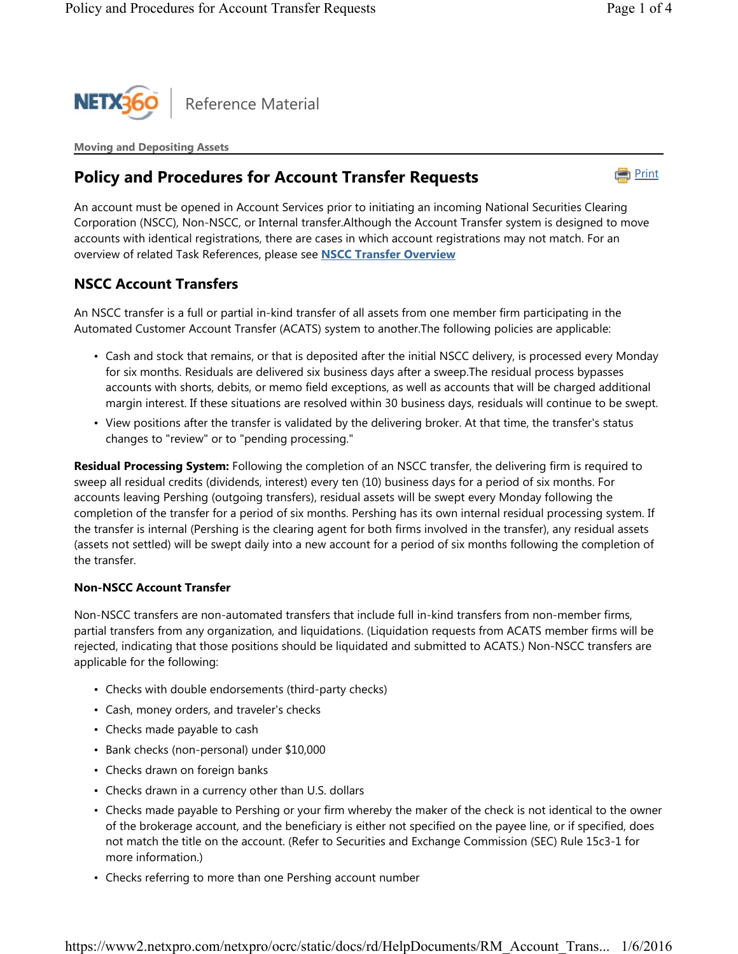

**Moving and Depositing Assets**

## **Policy and Procedures for Account Transfer Requests**



An account must be opened in Account Services prior to initiating an incoming National Securities Clearing Corporation (NSCC), Non-NSCC, or Internal transfer.Although the Account Transfer system is designed to move accounts with identical registrations, there are cases in which account registrations may not match. For an overview of related Task References, please see **NSCC Transfer Overview**

## **NSCC Account Transfers**

An NSCC transfer is a full or partial in-kind transfer of all assets from one member firm participating in the Automated Customer Account Transfer (ACATS) system to another.The following policies are applicable:

- Cash and stock that remains, or that is deposited after the initial NSCC delivery, is processed every Monday for six months. Residuals are delivered six business days after a sweep.The residual process bypasses accounts with shorts, debits, or memo field exceptions, as well as accounts that will be charged additional margin interest. If these situations are resolved within 30 business days, residuals will continue to be swept.
- View positions after the transfer is validated by the delivering broker. At that time, the transfer's status changes to "review" or to "pending processing."

**Residual Processing System:** Following the completion of an NSCC transfer, the delivering firm is required to sweep all residual credits (dividends, interest) every ten (10) business days for a period of six months. For accounts leaving Pershing (outgoing transfers), residual assets will be swept every Monday following the completion of the transfer for a period of six months. Pershing has its own internal residual processing system. If the transfer is internal (Pershing is the clearing agent for both firms involved in the transfer), any residual assets (assets not settled) will be swept daily into a new account for a period of six months following the completion of the transfer.

#### **Non-NSCC Account Transfer**

Non-NSCC transfers are non-automated transfers that include full in-kind transfers from non-member firms, partial transfers from any organization, and liquidations. (Liquidation requests from ACATS member firms will be rejected, indicating that those positions should be liquidated and submitted to ACATS.) Non-NSCC transfers are applicable for the following:

- Checks with double endorsements (third-party checks)
- Cash, money orders, and traveler's checks
- Checks made payable to cash
- Bank checks (non-personal) under \$10,000
- Checks drawn on foreign banks
- Checks drawn in a currency other than U.S. dollars
- Checks made payable to Pershing or your firm whereby the maker of the check is not identical to the owner of the brokerage account, and the beneficiary is either not specified on the payee line, or if specified, does not match the title on the account. (Refer to Securities and Exchange Commission (SEC) Rule 15c3-1 for more information.)
- Checks referring to more than one Pershing account number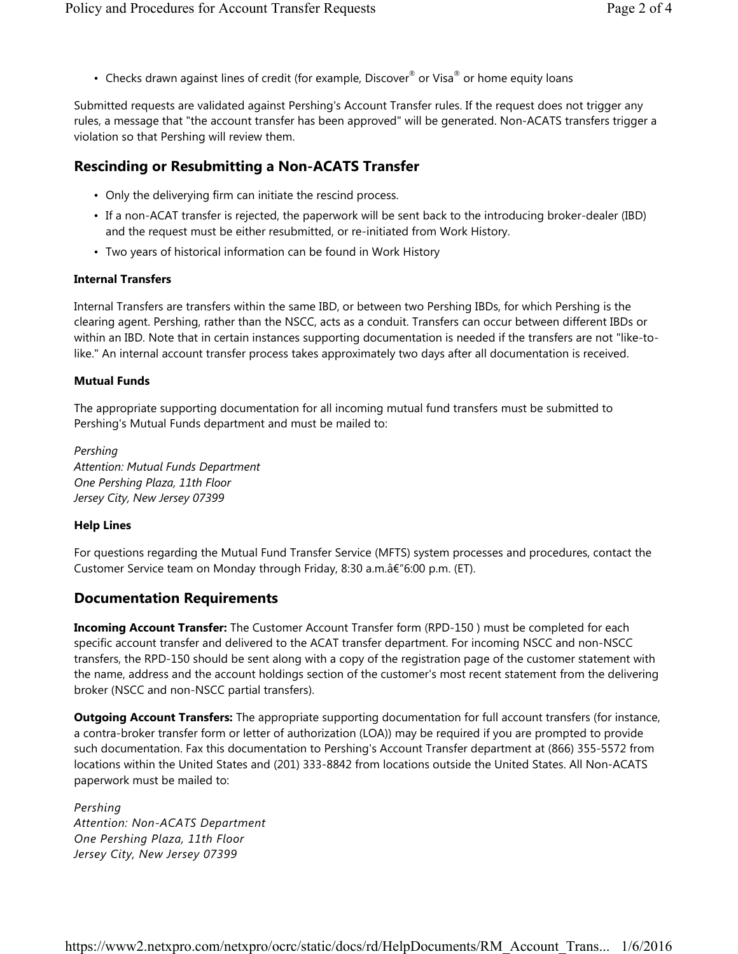• Checks drawn against lines of credit (for example, Discover<sup>®</sup> or Visa<sup>®</sup> or home equity loans

Submitted requests are validated against Pershing's Account Transfer rules. If the request does not trigger any rules, a message that "the account transfer has been approved" will be generated. Non-ACATS transfers trigger a violation so that Pershing will review them.

# **Rescinding or Resubmitting a Non-ACATS Transfer**

- Only the deliverying firm can initiate the rescind process.
- If a non-ACAT transfer is rejected, the paperwork will be sent back to the introducing broker-dealer (IBD) and the request must be either resubmitted, or re-initiated from Work History.
- Two years of historical information can be found in Work History

## **Internal Transfers**

Internal Transfers are transfers within the same IBD, or between two Pershing IBDs, for which Pershing is the clearing agent. Pershing, rather than the NSCC, acts as a conduit. Transfers can occur between different IBDs or within an IBD. Note that in certain instances supporting documentation is needed if the transfers are not "like-tolike." An internal account transfer process takes approximately two days after all documentation is received.

#### **Mutual Funds**

The appropriate supporting documentation for all incoming mutual fund transfers must be submitted to Pershing's Mutual Funds department and must be mailed to:

*Pershing Attention: Mutual Funds Department One Pershing Plaza, 11th Floor Jersey City, New Jersey 07399*

### **Help Lines**

For questions regarding the Mutual Fund Transfer Service (MFTS) system processes and procedures, contact the Customer Service team on Monday through Friday, 8:30 a.m.â€"6:00 p.m. (ET).

## **Documentation Requirements**

**Incoming Account Transfer:** The Customer Account Transfer form (RPD-150 ) must be completed for each specific account transfer and delivered to the ACAT transfer department. For incoming NSCC and non-NSCC transfers, the RPD-150 should be sent along with a copy of the registration page of the customer statement with the name, address and the account holdings section of the customer's most recent statement from the delivering broker (NSCC and non-NSCC partial transfers).

**Outgoing Account Transfers:** The appropriate supporting documentation for full account transfers (for instance, a contra-broker transfer form or letter of authorization (LOA)) may be required if you are prompted to provide such documentation. Fax this documentation to Pershing's Account Transfer department at (866) 355-5572 from locations within the United States and (201) 333-8842 from locations outside the United States. All Non-ACATS paperwork must be mailed to:

*Pershing Attention: Non-ACATS Department One Pershing Plaza, 11th Floor Jersey City, New Jersey 07399*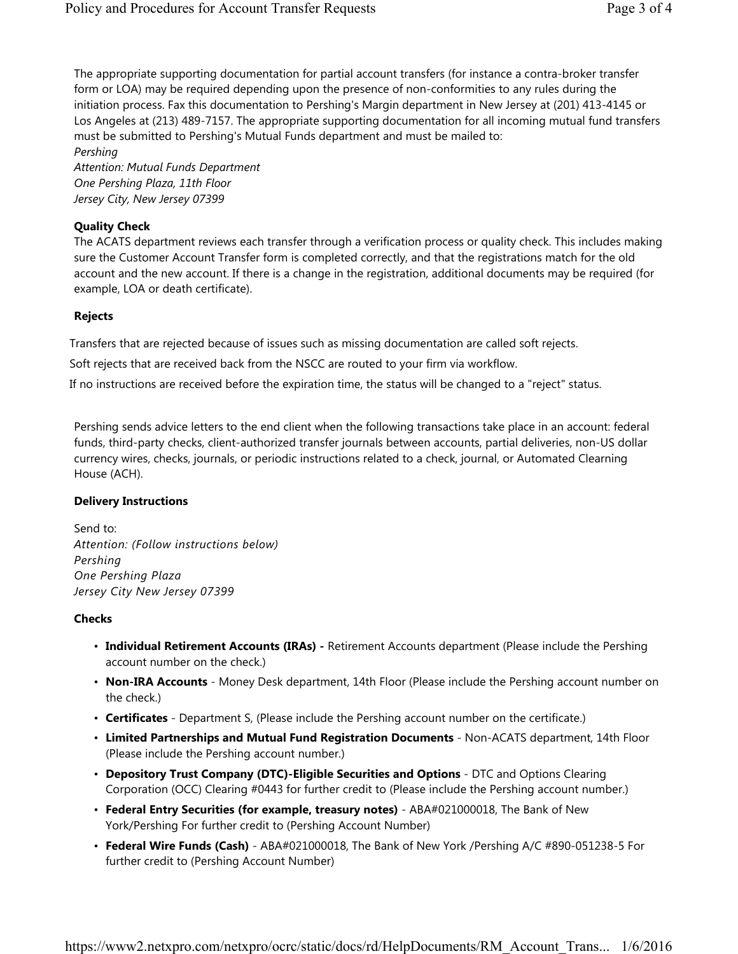The appropriate supporting documentation for partial account transfers (for instance a contra-broker transfer form or LOA) may be required depending upon the presence of non-conformities to any rules during the initiation process. Fax this documentation to Pershing's Margin department in New Jersey at (201) 413-4145 or Los Angeles at (213) 489-7157. The appropriate supporting documentation for all incoming mutual fund transfers must be submitted to Pershing's Mutual Funds department and must be mailed to:

*Pershing*

*Attention: Mutual Funds Department One Pershing Plaza, 11th Floor Jersey City, New Jersey 07399*

### **Quality Check**

The ACATS department reviews each transfer through a verification process or quality check. This includes making sure the Customer Account Transfer form is completed correctly, and that the registrations match for the old account and the new account. If there is a change in the registration, additional documents may be required (for example, LOA or death certificate).

### **Rejects**

Transfers that are rejected because of issues such as missing documentation are called soft rejects.

Soft rejects that are received back from the NSCC are routed to your firm via workflow.

If no instructions are received before the expiration time, the status will be changed to a "reject" status.

Pershing sends advice letters to the end client when the following transactions take place in an account: federal funds, third-party checks, client-authorized transfer journals between accounts, partial deliveries, non-US dollar currency wires, checks, journals, or periodic instructions related to a check, journal, or Automated Clearning House (ACH).

### **Delivery Instructions**

Send to: *Attention: (Follow instructions below) Pershing One Pershing Plaza Jersey City New Jersey 07399*

### **Checks**

- **Individual Retirement Accounts (IRAs) -** Retirement Accounts department (Please include the Pershing account number on the check.)
- **Non-IRA Accounts** Money Desk department, 14th Floor (Please include the Pershing account number on the check.)
- **Certificates** Department S, (Please include the Pershing account number on the certificate.)
- **Limited Partnerships and Mutual Fund Registration Documents** Non-ACATS department, 14th Floor (Please include the Pershing account number.)
- **Depository Trust Company (DTC)-Eligible Securities and Options** DTC and Options Clearing Corporation (OCC) Clearing #0443 for further credit to (Please include the Pershing account number.)
- **Federal Entry Securities (for example, treasury notes)**  ABA#021000018, The Bank of New York/Pershing For further credit to (Pershing Account Number)
- **Federal Wire Funds (Cash)** ABA#021000018, The Bank of New York /Pershing A/C #890-051238-5 For further credit to (Pershing Account Number)